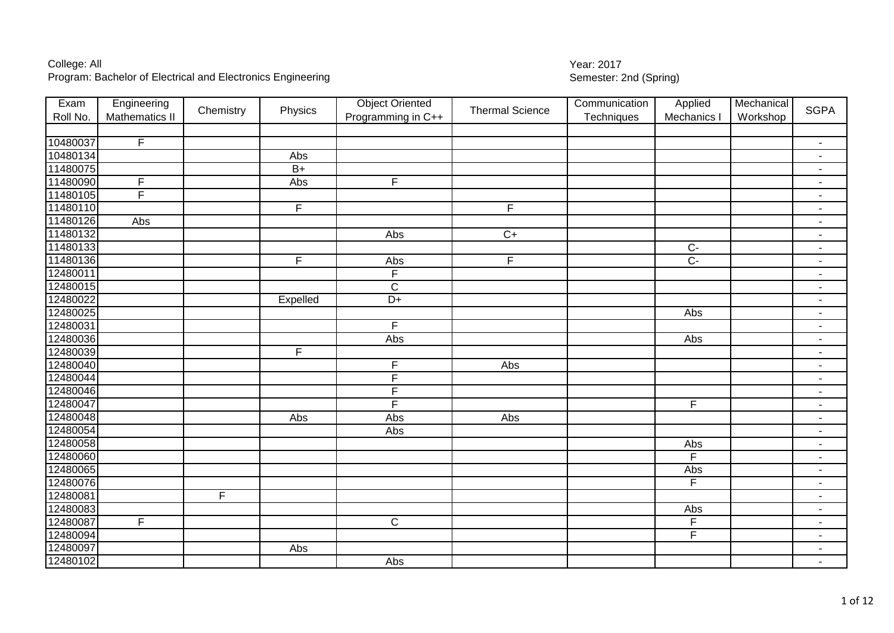| Exam     | Engineering    | Chemistry |                         | <b>Object Oriented</b> | <b>Thermal Science</b> | Communication | Applied        | Mechanical | <b>SGPA</b>              |
|----------|----------------|-----------|-------------------------|------------------------|------------------------|---------------|----------------|------------|--------------------------|
| Roll No. | Mathematics II |           | Physics                 | Programming in C++     |                        | Techniques    | Mechanics I    | Workshop   |                          |
|          |                |           |                         |                        |                        |               |                |            |                          |
| 10480037 | $\overline{F}$ |           |                         |                        |                        |               |                |            | $\blacksquare$           |
| 10480134 |                |           | Abs                     |                        |                        |               |                |            | $\overline{\phantom{a}}$ |
| 11480075 |                |           | $\overline{B+}$         |                        |                        |               |                |            | $\blacksquare$           |
| 11480090 | F              |           | Abs                     | F.                     |                        |               |                |            | $\blacksquare$           |
| 11480105 | F              |           |                         |                        |                        |               |                |            | $\blacksquare$           |
| 11480110 |                |           | $\overline{\mathsf{F}}$ |                        | $\overline{F}$         |               |                |            | ٠                        |
| 11480126 | Abs            |           |                         |                        |                        |               |                |            | $\blacksquare$           |
| 11480132 |                |           |                         | Abs                    | $C+$                   |               |                |            | $\blacksquare$           |
| 11480133 |                |           |                         |                        |                        |               | $C -$          |            | $\overline{\phantom{a}}$ |
| 11480136 |                |           | F                       | Abs                    | F                      |               | $\overline{C}$ |            | $\overline{\phantom{a}}$ |
| 12480011 |                |           |                         | F                      |                        |               |                |            | $\overline{\phantom{a}}$ |
| 12480015 |                |           |                         | $\overline{C}$         |                        |               |                |            | $\blacksquare$           |
| 12480022 |                |           | Expelled                | $D+$                   |                        |               |                |            | $\sim$                   |
| 12480025 |                |           |                         |                        |                        |               | Abs            |            | $\blacksquare$           |
| 12480031 |                |           |                         | F                      |                        |               |                |            | $\blacksquare$           |
| 12480036 |                |           |                         | Abs                    |                        |               | Abs            |            | $\overline{\phantom{a}}$ |
| 12480039 |                |           | $\overline{\mathsf{F}}$ |                        |                        |               |                |            | $\blacksquare$           |
| 12480040 |                |           |                         | F                      | Abs                    |               |                |            | $\blacksquare$           |
| 12480044 |                |           |                         | F                      |                        |               |                |            | $\blacksquare$           |
| 12480046 |                |           |                         | F                      |                        |               |                |            | $\blacksquare$           |
| 12480047 |                |           |                         | F                      |                        |               | F              |            | $\overline{\phantom{a}}$ |
| 12480048 |                |           | Abs                     | Abs                    | Abs                    |               |                |            | $\overline{\phantom{a}}$ |
| 12480054 |                |           |                         | Abs                    |                        |               |                |            | $\blacksquare$           |
| 12480058 |                |           |                         |                        |                        |               | Abs            |            | $\blacksquare$           |
| 12480060 |                |           |                         |                        |                        |               | $\overline{F}$ |            | $\overline{\phantom{a}}$ |
| 12480065 |                |           |                         |                        |                        |               | Abs            |            | $\blacksquare$           |
| 12480076 |                |           |                         |                        |                        |               | F              |            | $\overline{\phantom{a}}$ |
| 12480081 |                | F         |                         |                        |                        |               |                |            | $\blacksquare$           |
| 12480083 |                |           |                         |                        |                        |               | Abs            |            | $\blacksquare$           |
| 12480087 | $\overline{F}$ |           |                         | $\overline{C}$         |                        |               | $\overline{F}$ |            | $\overline{\phantom{a}}$ |
| 12480094 |                |           |                         |                        |                        |               | $\overline{F}$ |            | $\overline{\phantom{a}}$ |
| 12480097 |                |           | Abs                     |                        |                        |               |                |            | $\blacksquare$           |
| 12480102 |                |           |                         | Abs                    |                        |               |                |            | $\sim$                   |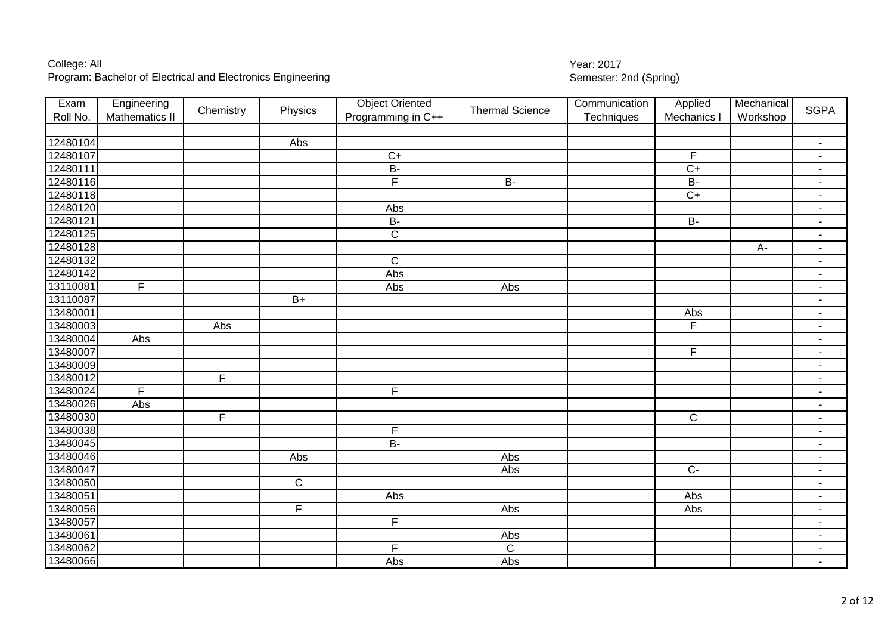| Exam     | Engineering    | Chemistry      | Physics                 | <b>Object Oriented</b>  | <b>Thermal Science</b> | Communication | Applied        | Mechanical | <b>SGPA</b>              |
|----------|----------------|----------------|-------------------------|-------------------------|------------------------|---------------|----------------|------------|--------------------------|
| Roll No. | Mathematics II |                |                         | Programming in C++      |                        | Techniques    | Mechanics I    | Workshop   |                          |
|          |                |                |                         |                         |                        |               |                |            |                          |
| 12480104 |                |                | Abs                     |                         |                        |               |                |            | $\blacksquare$           |
| 12480107 |                |                |                         | $\overline{C+}$         |                        |               | $\overline{F}$ |            | $\blacksquare$           |
| 12480111 |                |                |                         | $B -$                   |                        |               | $\overline{C}$ |            | $\blacksquare$           |
| 12480116 |                |                |                         | $\overline{F}$          | $B -$                  |               | <b>B-</b>      |            | $\blacksquare$           |
| 12480118 |                |                |                         |                         |                        |               | $\overline{C}$ |            | $\blacksquare$           |
| 12480120 |                |                |                         | Abs                     |                        |               |                |            | $\blacksquare$           |
| 12480121 |                |                |                         | $B -$                   |                        |               | $B -$          |            | $\blacksquare$           |
| 12480125 |                |                |                         | $\overline{\mathsf{C}}$ |                        |               |                |            | $\overline{\phantom{a}}$ |
| 12480128 |                |                |                         |                         |                        |               |                | A-         | $\blacksquare$           |
| 12480132 |                |                |                         | $\mathsf{C}$            |                        |               |                |            | $\blacksquare$           |
| 12480142 |                |                |                         | Abs                     |                        |               |                |            | $\blacksquare$           |
| 13110081 | $\overline{F}$ |                |                         | Abs                     | $\overline{Abs}$       |               |                |            | $\overline{\phantom{a}}$ |
| 13110087 |                |                | $B+$                    |                         |                        |               |                |            | $\overline{\phantom{a}}$ |
| 13480001 |                |                |                         |                         |                        |               | Abs            |            | $\blacksquare$           |
| 13480003 |                | Abs            |                         |                         |                        |               | $\overline{F}$ |            | $\blacksquare$           |
| 13480004 | Abs            |                |                         |                         |                        |               |                |            | $\blacksquare$           |
| 13480007 |                |                |                         |                         |                        |               | F              |            | $\blacksquare$           |
| 13480009 |                |                |                         |                         |                        |               |                |            | $\blacksquare$           |
| 13480012 |                | F              |                         |                         |                        |               |                |            | $\overline{\phantom{a}}$ |
| 13480024 | $\overline{F}$ |                |                         | $\overline{F}$          |                        |               |                |            | $\blacksquare$           |
| 13480026 | Abs            |                |                         |                         |                        |               |                |            | $\blacksquare$           |
| 13480030 |                | $\overline{F}$ |                         |                         |                        |               | $\overline{C}$ |            | $\blacksquare$           |
| 13480038 |                |                |                         | F                       |                        |               |                |            | $\blacksquare$           |
| 13480045 |                |                |                         | $B -$                   |                        |               |                |            | $\sim$                   |
| 13480046 |                |                | Abs                     |                         | Abs                    |               |                |            | $\blacksquare$           |
| 13480047 |                |                |                         |                         | Abs                    |               | $\overline{C}$ |            | $\overline{\phantom{a}}$ |
| 13480050 |                |                | $\mathsf C$             |                         |                        |               |                |            | $\overline{\phantom{a}}$ |
| 13480051 |                |                |                         | Abs                     |                        |               | Abs            |            | $\overline{\phantom{a}}$ |
| 13480056 |                |                | $\overline{\mathsf{F}}$ |                         | Abs                    |               | Abs            |            | $\overline{\phantom{a}}$ |
| 13480057 |                |                |                         | F                       |                        |               |                |            | $\overline{\phantom{a}}$ |
| 13480061 |                |                |                         |                         | Abs                    |               |                |            | $\blacksquare$           |
| 13480062 |                |                |                         | $\overline{F}$          | $\overline{C}$         |               |                |            | $\overline{\phantom{a}}$ |
| 13480066 |                |                |                         | Abs                     | Abs                    |               |                |            | $\blacksquare$           |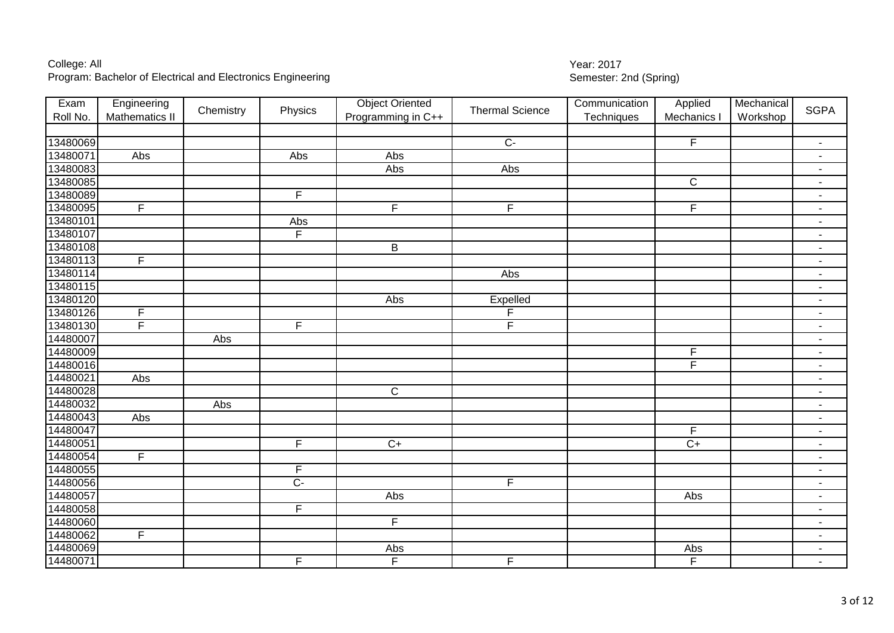| Exam     | Engineering    | Chemistry | Physics                 | <b>Object Oriented</b>  | <b>Thermal Science</b>  | Communication | Applied        | Mechanical | <b>SGPA</b>              |
|----------|----------------|-----------|-------------------------|-------------------------|-------------------------|---------------|----------------|------------|--------------------------|
| Roll No. | Mathematics II |           |                         | Programming in C++      |                         | Techniques    | Mechanics I    | Workshop   |                          |
|          |                |           |                         |                         |                         |               |                |            |                          |
| 13480069 |                |           |                         |                         | $C -$                   |               | F              |            | $\blacksquare$           |
| 13480071 | Abs            |           | Abs                     | Abs                     |                         |               |                |            | $\blacksquare$           |
| 13480083 |                |           |                         | Abs                     | Abs                     |               |                |            | $\blacksquare$           |
| 13480085 |                |           |                         |                         |                         |               | $\mathsf{C}$   |            | $\blacksquare$           |
| 13480089 |                |           | $\overline{F}$          |                         |                         |               |                |            | $\blacksquare$           |
| 13480095 | $\overline{F}$ |           |                         | $\overline{\mathsf{F}}$ | $\overline{\mathsf{F}}$ |               | $\overline{F}$ |            | $\blacksquare$           |
| 13480101 |                |           | Abs                     |                         |                         |               |                |            | $\blacksquare$           |
| 13480107 |                |           | F                       |                         |                         |               |                |            | $\blacksquare$           |
| 13480108 |                |           |                         | $\sf B$                 |                         |               |                |            | $\blacksquare$           |
| 13480113 | F              |           |                         |                         |                         |               |                |            | $\blacksquare$           |
| 13480114 |                |           |                         |                         | Abs                     |               |                |            | $\blacksquare$           |
| 13480115 |                |           |                         |                         |                         |               |                |            | $\overline{\phantom{a}}$ |
| 13480120 |                |           |                         | Abs                     | Expelled                |               |                |            | $\blacksquare$           |
| 13480126 | F              |           |                         |                         | F                       |               |                |            | $\blacksquare$           |
| 13480130 | F              |           | $\mathsf{F}$            |                         | F                       |               |                |            | $\blacksquare$           |
| 14480007 |                | Abs       |                         |                         |                         |               |                |            | $\blacksquare$           |
| 14480009 |                |           |                         |                         |                         |               | $\mathsf F$    |            | $\blacksquare$           |
| 14480016 |                |           |                         |                         |                         |               | F              |            | $\blacksquare$           |
| 14480021 | Abs            |           |                         |                         |                         |               |                |            | $\overline{\phantom{a}}$ |
| 14480028 |                |           |                         | $\mathsf C$             |                         |               |                |            | $\blacksquare$           |
| 14480032 |                | Abs       |                         |                         |                         |               |                |            | $\blacksquare$           |
| 14480043 | Abs            |           |                         |                         |                         |               |                |            | $\blacksquare$           |
| 14480047 |                |           |                         |                         |                         |               | F              |            | $\blacksquare$           |
| 14480051 |                |           | F                       | $C+$                    |                         |               | $\overline{C}$ |            | $\blacksquare$           |
| 14480054 | F              |           |                         |                         |                         |               |                |            | $\overline{\phantom{a}}$ |
| 14480055 |                |           | $\overline{F}$          |                         |                         |               |                |            | $\overline{\phantom{a}}$ |
| 14480056 |                |           | $\overline{C}$          |                         | F.                      |               |                |            | $\overline{\phantom{a}}$ |
| 14480057 |                |           |                         | Abs                     |                         |               | Abs            |            | $\overline{\phantom{a}}$ |
| 14480058 |                |           | $\overline{\mathsf{F}}$ |                         |                         |               |                |            | $\overline{\phantom{a}}$ |
| 14480060 |                |           |                         | F                       |                         |               |                |            | $\overline{\phantom{a}}$ |
| 14480062 | $\overline{F}$ |           |                         |                         |                         |               |                |            | $\blacksquare$           |
| 14480069 |                |           |                         | Abs                     |                         |               | Abs            |            | $\overline{\phantom{a}}$ |
| 14480071 |                |           | $\overline{F}$          | F                       | $\overline{F}$          |               | $\overline{F}$ |            | $\blacksquare$           |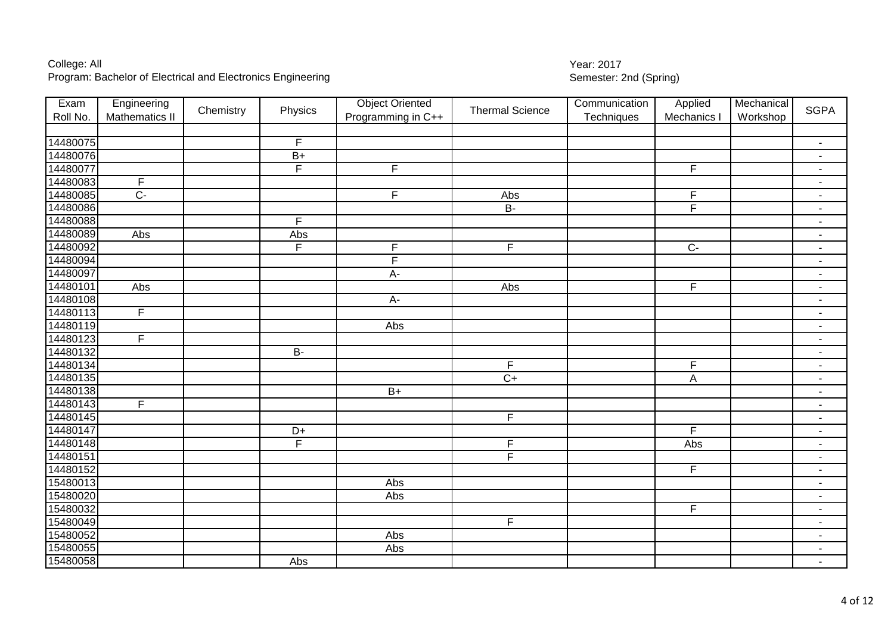| Exam     | Engineering           | Chemistry | Physics         | <b>Object Oriented</b> | <b>Thermal Science</b>  | Communication | Applied        | Mechanical | <b>SGPA</b>              |
|----------|-----------------------|-----------|-----------------|------------------------|-------------------------|---------------|----------------|------------|--------------------------|
| Roll No. | <b>Mathematics II</b> |           |                 | Programming in C++     |                         | Techniques    | Mechanics I    | Workshop   |                          |
|          |                       |           |                 |                        |                         |               |                |            |                          |
| 14480075 |                       |           | F               |                        |                         |               |                |            | $\overline{\phantom{a}}$ |
| 14480076 |                       |           | $B+$            |                        |                         |               |                |            | $\sim$                   |
| 14480077 |                       |           | E               | E                      |                         |               | F              |            | $\blacksquare$           |
| 14480083 | $\mathsf F$           |           |                 |                        |                         |               |                |            | $\blacksquare$           |
| 14480085 | $C -$                 |           |                 | $\overline{F}$         | Abs                     |               | $\mathsf F$    |            | $\blacksquare$           |
| 14480086 |                       |           |                 |                        | $\overline{B}$          |               | F              |            | $\blacksquare$           |
| 14480088 |                       |           | $\overline{F}$  |                        |                         |               |                |            | $\blacksquare$           |
| 14480089 | Abs                   |           | Abs             |                        |                         |               |                |            | $\blacksquare$           |
| 14480092 |                       |           | $\overline{F}$  | $\mathsf F$            | F                       |               | $C -$          |            | $\blacksquare$           |
| 14480094 |                       |           |                 | F                      |                         |               |                |            | $\overline{\phantom{a}}$ |
| 14480097 |                       |           |                 | A-                     |                         |               |                |            | $\blacksquare$           |
| 14480101 | Abs                   |           |                 |                        | Abs                     |               | $\overline{F}$ |            | $\overline{\phantom{a}}$ |
| 14480108 |                       |           |                 | $A -$                  |                         |               |                |            | $\blacksquare$           |
| 14480113 | F                     |           |                 |                        |                         |               |                |            | $\blacksquare$           |
| 14480119 |                       |           |                 | Abs                    |                         |               |                |            | $\blacksquare$           |
| 14480123 | $\mathsf{F}$          |           |                 |                        |                         |               |                |            | $\sim$                   |
| 14480132 |                       |           | <b>B-</b>       |                        |                         |               |                |            | $\blacksquare$           |
| 14480134 |                       |           |                 |                        | F                       |               | $\overline{F}$ |            | $\blacksquare$           |
| 14480135 |                       |           |                 |                        | $\overline{C+}$         |               | A              |            | $\overline{\phantom{a}}$ |
| 14480138 |                       |           |                 | $B+$                   |                         |               |                |            | $\blacksquare$           |
| 14480143 | F                     |           |                 |                        |                         |               |                |            | $\blacksquare$           |
| 14480145 |                       |           |                 |                        | $\overline{\mathsf{F}}$ |               |                |            | $\blacksquare$           |
| 14480147 |                       |           | $\overline{D+}$ |                        |                         |               | F              |            | $\overline{\phantom{a}}$ |
| 14480148 |                       |           | F               |                        | F                       |               | Abs            |            | $\blacksquare$           |
| 14480151 |                       |           |                 |                        | F.                      |               |                |            | $\blacksquare$           |
| 14480152 |                       |           |                 |                        |                         |               | F              |            | $\blacksquare$           |
| 15480013 |                       |           |                 | Abs                    |                         |               |                |            | $\sim$                   |
| 15480020 |                       |           |                 | Abs                    |                         |               |                |            | $\blacksquare$           |
| 15480032 |                       |           |                 |                        |                         |               | F              |            | $\sim$                   |

 F - Abs - Abs - Abs -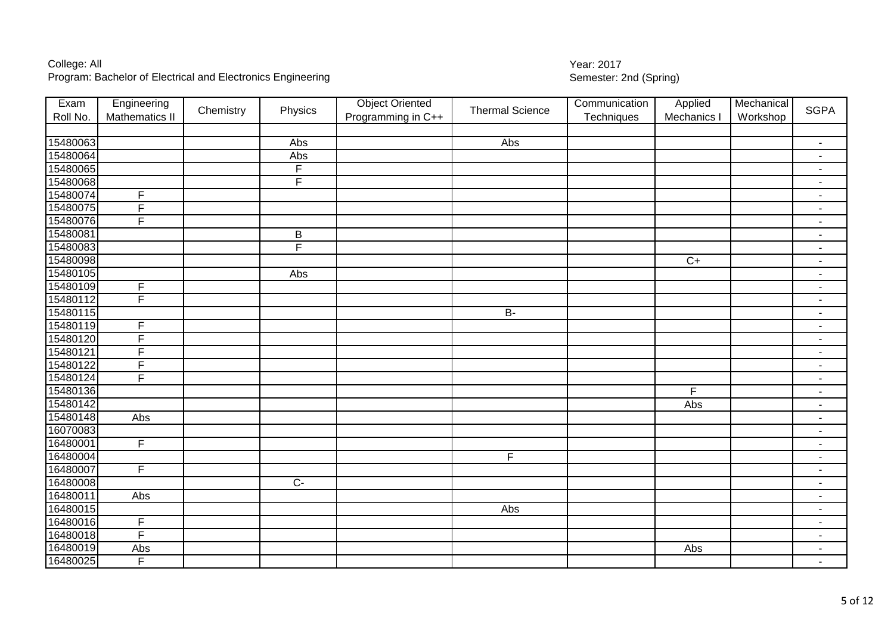| 15480063<br>Abs<br>Abs<br>$\blacksquare$<br>15480064<br>Abs<br>$\blacksquare$<br>15480065<br>F<br>$\blacksquare$<br>$\overline{F}$<br>15480068<br>$\blacksquare$<br>15480074<br>$\overline{F}$<br>$\blacksquare$<br>F<br>15480075<br>$\blacksquare$<br>15480076<br>F<br>$\blacksquare$<br>15480081<br>B<br>$\blacksquare$<br>$\overline{\mathsf{F}}$<br>15480083<br>$\blacksquare$<br>15480098<br>$C+$<br>$\blacksquare$<br>15480105<br>Abs<br>$\blacksquare$<br>15480109<br>$\overline{F}$<br>$\blacksquare$<br>15480112<br>$\overline{F}$<br>$\blacksquare$<br>15480115<br>$\overline{B}$<br>$\blacksquare$<br>15480119<br>F<br>$\blacksquare$<br>15480120<br>F<br>$\blacksquare$<br>F<br>15480121<br>$\blacksquare$<br>15480122<br>$\overline{\mathsf{F}}$<br>$\overline{\phantom{a}}$<br>F<br>15480124<br>$\blacksquare$<br>15480136<br>F<br>$\blacksquare$<br>15480142<br>Abs<br>$\overline{\phantom{a}}$<br>15480148<br>Abs<br>$\blacksquare$<br>16070083<br>$\blacksquare$<br>16480001<br>$\overline{F}$<br>$\blacksquare$<br>16480004<br>F<br>$\overline{\phantom{a}}$<br>16480007<br>$\overline{F}$<br>$\overline{\phantom{a}}$<br>16480008<br>$C-$<br>$\blacksquare$<br>16480011<br>Abs<br>$\overline{\phantom{a}}$<br>16480015<br>Abs<br>$\blacksquare$<br>16480016<br>F<br>$\blacksquare$<br>16480018<br>F<br>$\blacksquare$<br>16480019<br>Abs<br>Abs<br>$\blacksquare$ | Exam     | Engineering    | Chemistry | Physics | <b>Object Oriented</b> | <b>Thermal Science</b> | Communication | Applied     | Mechanical | <b>SGPA</b> |
|--------------------------------------------------------------------------------------------------------------------------------------------------------------------------------------------------------------------------------------------------------------------------------------------------------------------------------------------------------------------------------------------------------------------------------------------------------------------------------------------------------------------------------------------------------------------------------------------------------------------------------------------------------------------------------------------------------------------------------------------------------------------------------------------------------------------------------------------------------------------------------------------------------------------------------------------------------------------------------------------------------------------------------------------------------------------------------------------------------------------------------------------------------------------------------------------------------------------------------------------------------------------------------------------------------------------------------------------------------------------------------------|----------|----------------|-----------|---------|------------------------|------------------------|---------------|-------------|------------|-------------|
|                                                                                                                                                                                                                                                                                                                                                                                                                                                                                                                                                                                                                                                                                                                                                                                                                                                                                                                                                                                                                                                                                                                                                                                                                                                                                                                                                                                      | Roll No. | Mathematics II |           |         | Programming in C++     |                        | Techniques    | Mechanics I | Workshop   |             |
|                                                                                                                                                                                                                                                                                                                                                                                                                                                                                                                                                                                                                                                                                                                                                                                                                                                                                                                                                                                                                                                                                                                                                                                                                                                                                                                                                                                      |          |                |           |         |                        |                        |               |             |            |             |
|                                                                                                                                                                                                                                                                                                                                                                                                                                                                                                                                                                                                                                                                                                                                                                                                                                                                                                                                                                                                                                                                                                                                                                                                                                                                                                                                                                                      |          |                |           |         |                        |                        |               |             |            |             |
|                                                                                                                                                                                                                                                                                                                                                                                                                                                                                                                                                                                                                                                                                                                                                                                                                                                                                                                                                                                                                                                                                                                                                                                                                                                                                                                                                                                      |          |                |           |         |                        |                        |               |             |            |             |
|                                                                                                                                                                                                                                                                                                                                                                                                                                                                                                                                                                                                                                                                                                                                                                                                                                                                                                                                                                                                                                                                                                                                                                                                                                                                                                                                                                                      |          |                |           |         |                        |                        |               |             |            |             |
|                                                                                                                                                                                                                                                                                                                                                                                                                                                                                                                                                                                                                                                                                                                                                                                                                                                                                                                                                                                                                                                                                                                                                                                                                                                                                                                                                                                      |          |                |           |         |                        |                        |               |             |            |             |
|                                                                                                                                                                                                                                                                                                                                                                                                                                                                                                                                                                                                                                                                                                                                                                                                                                                                                                                                                                                                                                                                                                                                                                                                                                                                                                                                                                                      |          |                |           |         |                        |                        |               |             |            |             |
|                                                                                                                                                                                                                                                                                                                                                                                                                                                                                                                                                                                                                                                                                                                                                                                                                                                                                                                                                                                                                                                                                                                                                                                                                                                                                                                                                                                      |          |                |           |         |                        |                        |               |             |            |             |
|                                                                                                                                                                                                                                                                                                                                                                                                                                                                                                                                                                                                                                                                                                                                                                                                                                                                                                                                                                                                                                                                                                                                                                                                                                                                                                                                                                                      |          |                |           |         |                        |                        |               |             |            |             |
|                                                                                                                                                                                                                                                                                                                                                                                                                                                                                                                                                                                                                                                                                                                                                                                                                                                                                                                                                                                                                                                                                                                                                                                                                                                                                                                                                                                      |          |                |           |         |                        |                        |               |             |            |             |
|                                                                                                                                                                                                                                                                                                                                                                                                                                                                                                                                                                                                                                                                                                                                                                                                                                                                                                                                                                                                                                                                                                                                                                                                                                                                                                                                                                                      |          |                |           |         |                        |                        |               |             |            |             |
|                                                                                                                                                                                                                                                                                                                                                                                                                                                                                                                                                                                                                                                                                                                                                                                                                                                                                                                                                                                                                                                                                                                                                                                                                                                                                                                                                                                      |          |                |           |         |                        |                        |               |             |            |             |
|                                                                                                                                                                                                                                                                                                                                                                                                                                                                                                                                                                                                                                                                                                                                                                                                                                                                                                                                                                                                                                                                                                                                                                                                                                                                                                                                                                                      |          |                |           |         |                        |                        |               |             |            |             |
|                                                                                                                                                                                                                                                                                                                                                                                                                                                                                                                                                                                                                                                                                                                                                                                                                                                                                                                                                                                                                                                                                                                                                                                                                                                                                                                                                                                      |          |                |           |         |                        |                        |               |             |            |             |
|                                                                                                                                                                                                                                                                                                                                                                                                                                                                                                                                                                                                                                                                                                                                                                                                                                                                                                                                                                                                                                                                                                                                                                                                                                                                                                                                                                                      |          |                |           |         |                        |                        |               |             |            |             |
|                                                                                                                                                                                                                                                                                                                                                                                                                                                                                                                                                                                                                                                                                                                                                                                                                                                                                                                                                                                                                                                                                                                                                                                                                                                                                                                                                                                      |          |                |           |         |                        |                        |               |             |            |             |
|                                                                                                                                                                                                                                                                                                                                                                                                                                                                                                                                                                                                                                                                                                                                                                                                                                                                                                                                                                                                                                                                                                                                                                                                                                                                                                                                                                                      |          |                |           |         |                        |                        |               |             |            |             |
|                                                                                                                                                                                                                                                                                                                                                                                                                                                                                                                                                                                                                                                                                                                                                                                                                                                                                                                                                                                                                                                                                                                                                                                                                                                                                                                                                                                      |          |                |           |         |                        |                        |               |             |            |             |
|                                                                                                                                                                                                                                                                                                                                                                                                                                                                                                                                                                                                                                                                                                                                                                                                                                                                                                                                                                                                                                                                                                                                                                                                                                                                                                                                                                                      |          |                |           |         |                        |                        |               |             |            |             |
|                                                                                                                                                                                                                                                                                                                                                                                                                                                                                                                                                                                                                                                                                                                                                                                                                                                                                                                                                                                                                                                                                                                                                                                                                                                                                                                                                                                      |          |                |           |         |                        |                        |               |             |            |             |
|                                                                                                                                                                                                                                                                                                                                                                                                                                                                                                                                                                                                                                                                                                                                                                                                                                                                                                                                                                                                                                                                                                                                                                                                                                                                                                                                                                                      |          |                |           |         |                        |                        |               |             |            |             |
|                                                                                                                                                                                                                                                                                                                                                                                                                                                                                                                                                                                                                                                                                                                                                                                                                                                                                                                                                                                                                                                                                                                                                                                                                                                                                                                                                                                      |          |                |           |         |                        |                        |               |             |            |             |
|                                                                                                                                                                                                                                                                                                                                                                                                                                                                                                                                                                                                                                                                                                                                                                                                                                                                                                                                                                                                                                                                                                                                                                                                                                                                                                                                                                                      |          |                |           |         |                        |                        |               |             |            |             |
|                                                                                                                                                                                                                                                                                                                                                                                                                                                                                                                                                                                                                                                                                                                                                                                                                                                                                                                                                                                                                                                                                                                                                                                                                                                                                                                                                                                      |          |                |           |         |                        |                        |               |             |            |             |
|                                                                                                                                                                                                                                                                                                                                                                                                                                                                                                                                                                                                                                                                                                                                                                                                                                                                                                                                                                                                                                                                                                                                                                                                                                                                                                                                                                                      |          |                |           |         |                        |                        |               |             |            |             |
|                                                                                                                                                                                                                                                                                                                                                                                                                                                                                                                                                                                                                                                                                                                                                                                                                                                                                                                                                                                                                                                                                                                                                                                                                                                                                                                                                                                      |          |                |           |         |                        |                        |               |             |            |             |
|                                                                                                                                                                                                                                                                                                                                                                                                                                                                                                                                                                                                                                                                                                                                                                                                                                                                                                                                                                                                                                                                                                                                                                                                                                                                                                                                                                                      |          |                |           |         |                        |                        |               |             |            |             |
|                                                                                                                                                                                                                                                                                                                                                                                                                                                                                                                                                                                                                                                                                                                                                                                                                                                                                                                                                                                                                                                                                                                                                                                                                                                                                                                                                                                      |          |                |           |         |                        |                        |               |             |            |             |
|                                                                                                                                                                                                                                                                                                                                                                                                                                                                                                                                                                                                                                                                                                                                                                                                                                                                                                                                                                                                                                                                                                                                                                                                                                                                                                                                                                                      |          |                |           |         |                        |                        |               |             |            |             |
|                                                                                                                                                                                                                                                                                                                                                                                                                                                                                                                                                                                                                                                                                                                                                                                                                                                                                                                                                                                                                                                                                                                                                                                                                                                                                                                                                                                      |          |                |           |         |                        |                        |               |             |            |             |
|                                                                                                                                                                                                                                                                                                                                                                                                                                                                                                                                                                                                                                                                                                                                                                                                                                                                                                                                                                                                                                                                                                                                                                                                                                                                                                                                                                                      |          |                |           |         |                        |                        |               |             |            |             |
|                                                                                                                                                                                                                                                                                                                                                                                                                                                                                                                                                                                                                                                                                                                                                                                                                                                                                                                                                                                                                                                                                                                                                                                                                                                                                                                                                                                      |          |                |           |         |                        |                        |               |             |            |             |
| $\blacksquare$                                                                                                                                                                                                                                                                                                                                                                                                                                                                                                                                                                                                                                                                                                                                                                                                                                                                                                                                                                                                                                                                                                                                                                                                                                                                                                                                                                       | 16480025 | F              |           |         |                        |                        |               |             |            |             |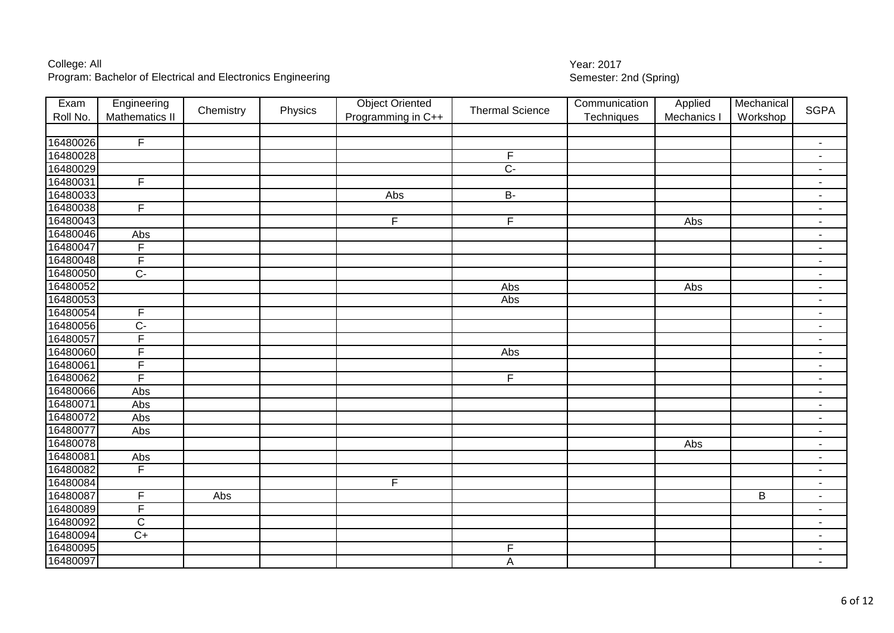| Exam     | Engineering             | Chemistry | Physics | <b>Object Oriented</b> | <b>Thermal Science</b> | Communication | Applied     | Mechanical | <b>SGPA</b>              |
|----------|-------------------------|-----------|---------|------------------------|------------------------|---------------|-------------|------------|--------------------------|
| Roll No. | <b>Mathematics II</b>   |           |         | Programming in C++     |                        | Techniques    | Mechanics I | Workshop   |                          |
|          |                         |           |         |                        |                        |               |             |            |                          |
| 16480026 | $\overline{F}$          |           |         |                        |                        |               |             |            | $\sim$                   |
| 16480028 |                         |           |         |                        | F                      |               |             |            | $\blacksquare$           |
| 16480029 |                         |           |         |                        | $\overline{C}$         |               |             |            | $\blacksquare$           |
| 16480031 | $\overline{F}$          |           |         |                        |                        |               |             |            | $\overline{\phantom{a}}$ |
| 16480033 |                         |           |         | Abs                    | $\mathsf B\text{-}$    |               |             |            | $\blacksquare$           |
| 16480038 | $\overline{F}$          |           |         |                        |                        |               |             |            | $\blacksquare$           |
| 16480043 |                         |           |         | $\overline{F}$         | F                      |               | Abs         |            | $\blacksquare$           |
| 16480046 | Abs                     |           |         |                        |                        |               |             |            | $\overline{\phantom{a}}$ |
| 16480047 | F                       |           |         |                        |                        |               |             |            | $\overline{\phantom{a}}$ |
| 16480048 | F                       |           |         |                        |                        |               |             |            | $\blacksquare$           |
| 16480050 | $\overline{C}$          |           |         |                        |                        |               |             |            | $\blacksquare$           |
| 16480052 |                         |           |         |                        | Abs                    |               | Abs         |            | $\blacksquare$           |
| 16480053 |                         |           |         |                        | Abs                    |               |             |            | $\blacksquare$           |
| 16480054 | F                       |           |         |                        |                        |               |             |            | $\blacksquare$           |
| 16480056 | $C -$                   |           |         |                        |                        |               |             |            | $\blacksquare$           |
| 16480057 | $\overline{F}$          |           |         |                        |                        |               |             |            | $\sim$                   |
| 16480060 | F                       |           |         |                        | Abs                    |               |             |            | $\blacksquare$           |
| 16480061 | F                       |           |         |                        |                        |               |             |            | $\blacksquare$           |
| 16480062 | F                       |           |         |                        | $\overline{F}$         |               |             |            | $\blacksquare$           |
| 16480066 | Abs                     |           |         |                        |                        |               |             |            | $\overline{\phantom{a}}$ |
| 16480071 | Abs                     |           |         |                        |                        |               |             |            | $\blacksquare$           |
| 16480072 | Abs                     |           |         |                        |                        |               |             |            | $\blacksquare$           |
| 16480077 | Abs                     |           |         |                        |                        |               |             |            | $\blacksquare$           |
| 16480078 |                         |           |         |                        |                        |               | Abs         |            | $\blacksquare$           |
| 16480081 | Abs                     |           |         |                        |                        |               |             |            | $\overline{\phantom{a}}$ |
| 16480082 | F                       |           |         |                        |                        |               |             |            | $\blacksquare$           |
| 16480084 |                         |           |         | $\mathsf F$            |                        |               |             |            | $\blacksquare$           |
| 16480087 | F                       | Abs       |         |                        |                        |               |             | $\sf B$    | $\blacksquare$           |
| 16480089 | $\overline{\mathsf{F}}$ |           |         |                        |                        |               |             |            | $\blacksquare$           |
| 16480092 | $\mathsf C$             |           |         |                        |                        |               |             |            | $\blacksquare$           |
| 16480094 | $\overline{C+}$         |           |         |                        |                        |               |             |            | $\sim$                   |
| 16480095 |                         |           |         |                        | F                      |               |             |            | $\sim$                   |
|          |                         |           |         |                        |                        |               |             |            |                          |

A -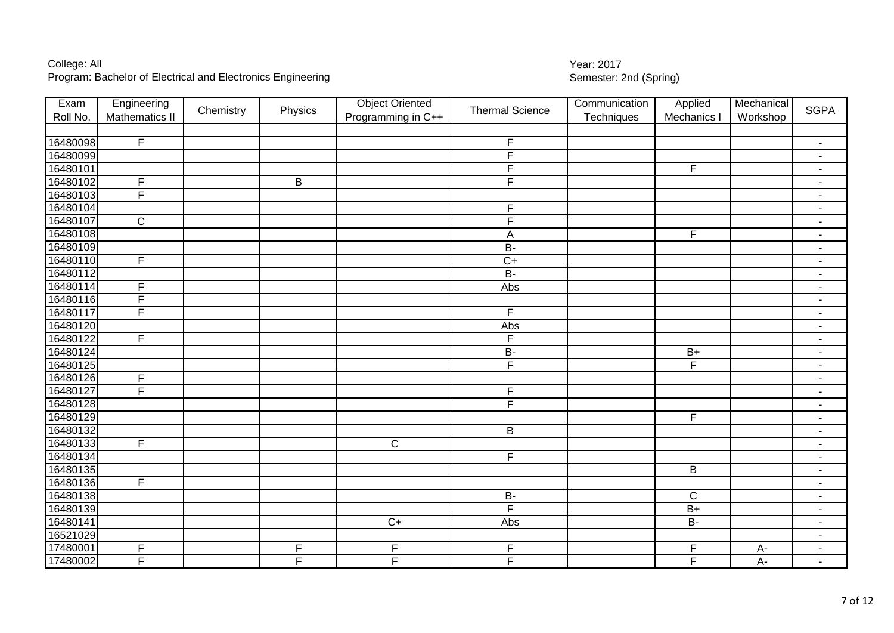| Exam     | Engineering             | Chemistry | Physics        | <b>Object Oriented</b> | <b>Thermal Science</b>  | Communication | Applied                 | Mechanical | <b>SGPA</b>              |
|----------|-------------------------|-----------|----------------|------------------------|-------------------------|---------------|-------------------------|------------|--------------------------|
| Roll No. | <b>Mathematics II</b>   |           |                | Programming in C++     |                         | Techniques    | Mechanics               | Workshop   |                          |
|          |                         |           |                |                        |                         |               |                         |            |                          |
| 16480098 | $\overline{F}$          |           |                |                        | F                       |               |                         |            | $\sim$                   |
| 16480099 |                         |           |                |                        | F                       |               |                         |            |                          |
| 16480101 |                         |           |                |                        | F                       |               | F                       |            | $\blacksquare$           |
| 16480102 | $\overline{F}$          |           | B              |                        | F                       |               |                         |            |                          |
| 16480103 | $\overline{F}$          |           |                |                        |                         |               |                         |            | $\blacksquare$           |
| 16480104 |                         |           |                |                        | F                       |               |                         |            | $\sim$                   |
| 16480107 | $\overline{\mathsf{C}}$ |           |                |                        | F                       |               |                         |            | $\sim$                   |
| 16480108 |                         |           |                |                        | A                       |               | $\overline{\mathsf{F}}$ |            | $\sim$                   |
| 16480109 |                         |           |                |                        | $\overline{B}$          |               |                         |            | $\blacksquare$           |
| 16480110 | $\mathsf F$             |           |                |                        | $\overline{C}$          |               |                         |            | $\overline{\phantom{a}}$ |
| 16480112 |                         |           |                |                        | $B -$                   |               |                         |            | $\overline{\phantom{a}}$ |
| 16480114 | $\overline{F}$          |           |                |                        | Abs                     |               |                         |            | $\blacksquare$           |
| 16480116 | $\overline{F}$          |           |                |                        |                         |               |                         |            | $\sim$                   |
| 16480117 | $\overline{F}$          |           |                |                        | $\overline{F}$          |               |                         |            | $\blacksquare$           |
| 16480120 |                         |           |                |                        | Abs                     |               |                         |            | $\blacksquare$           |
| 16480122 | $\overline{F}$          |           |                |                        | F                       |               |                         |            | $\blacksquare$           |
| 16480124 |                         |           |                |                        | $B -$                   |               | $B+$                    |            | $\blacksquare$           |
| 16480125 |                         |           |                |                        | F                       |               | F                       |            | $\blacksquare$           |
| 16480126 | $\overline{F}$          |           |                |                        |                         |               |                         |            | $\sim$                   |
| 16480127 | $\overline{F}$          |           |                |                        | $\overline{F}$          |               |                         |            | $\blacksquare$           |
| 16480128 |                         |           |                |                        | $\overline{\mathsf{F}}$ |               |                         |            | $\blacksquare$           |
| 16480129 |                         |           |                |                        |                         |               | $\overline{\mathsf{F}}$ |            | $\blacksquare$           |
| 16480132 |                         |           |                |                        | $\overline{\mathsf{B}}$ |               |                         |            | $\blacksquare$           |
| 16480133 | $\overline{F}$          |           |                | $\overline{C}$         |                         |               |                         |            | $\blacksquare$           |
| 16480134 |                         |           |                |                        | $\overline{\mathsf{F}}$ |               |                         |            | $\blacksquare$           |
| 16480135 |                         |           |                |                        |                         |               | B                       |            | $\blacksquare$           |
| 16480136 | $\overline{F}$          |           |                |                        |                         |               |                         |            | $\blacksquare$           |
| 16480138 |                         |           |                |                        | $B -$                   |               | $\overline{C}$          |            | $\overline{\phantom{a}}$ |
| 16480139 |                         |           |                |                        | F                       |               | $B+$                    |            | $\blacksquare$           |
| 16480141 |                         |           |                | $\overline{C+}$        | Abs                     |               | $B -$                   |            | $\blacksquare$           |
| 16521029 |                         |           |                |                        |                         |               |                         |            | $\blacksquare$           |
| 17480001 | $\mathsf F$             |           | F              | F                      | F                       |               | F                       | $A -$      | $\blacksquare$           |
| 17480002 | $\overline{F}$          |           | $\overline{F}$ | F                      | F                       |               | $\overline{F}$          | $A -$      |                          |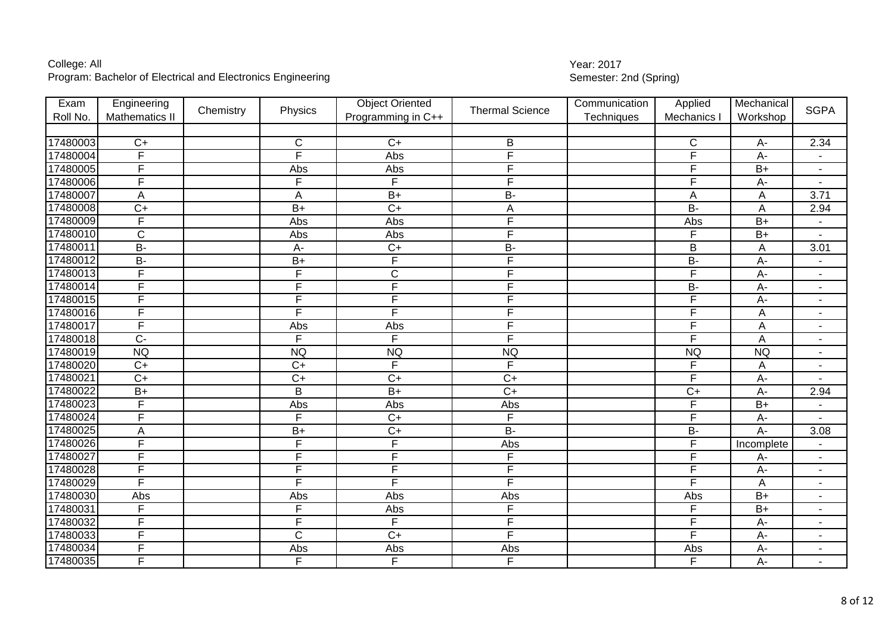| Exam     | Engineering             | Chemistry | Physics               | <b>Object Oriented</b>  | <b>Thermal Science</b> | Communication | Applied                 | Mechanical      | <b>SGPA</b>              |
|----------|-------------------------|-----------|-----------------------|-------------------------|------------------------|---------------|-------------------------|-----------------|--------------------------|
| Roll No. | Mathematics II          |           |                       | Programming in C++      |                        | Techniques    | Mechanics               | Workshop        |                          |
|          |                         |           |                       |                         |                        |               |                         |                 |                          |
| 17480003 | $C+$                    |           | C                     | $C+$                    | B                      |               | $\mathsf{C}$            | $A -$           | 2.34                     |
| 17480004 | F                       |           | F                     | Abs                     | F                      |               | F                       | A-              |                          |
| 17480005 | $\overline{\mathsf{F}}$ |           | Abs                   | Abs                     | F                      |               | F                       | $B+$            |                          |
| 17480006 | $\overline{\mathsf{F}}$ |           | F                     | $\overline{F}$          | F                      |               | $\overline{F}$          | $A -$           |                          |
| 17480007 | A                       |           | A                     | $B+$                    | <b>B-</b>              |               | $\overline{A}$          | A               | 3.71                     |
| 17480008 | $C+$                    |           | $\overline{B+}$       | $\overline{C+}$         | A                      |               | $B -$                   | A               | 2.94                     |
| 17480009 | F                       |           | Abs                   | Abs                     | F                      |               | Abs                     | $B+$            |                          |
| 17480010 | $\mathsf{C}$            |           | Abs                   | Abs                     | F                      |               | F                       | $B+$            |                          |
| 17480011 | <b>B-</b>               |           | $A -$                 | $\overline{C}$          | <b>B-</b>              |               | $\overline{B}$          | A               | 3.01                     |
| 17480012 | $B -$                   |           | $B+$                  | $\overline{\mathsf{F}}$ | F                      |               | $B -$                   | $A -$           |                          |
| 17480013 | F                       |           | F                     | $\overline{C}$          | F                      |               | $\overline{\mathsf{F}}$ | $A -$           | $\overline{\phantom{a}}$ |
| 17480014 | F                       |           | F                     | F                       | F                      |               | $\overline{B}$          | $A -$           | $\blacksquare$           |
| 17480015 | F                       |           | F                     | F                       | F                      |               | F                       | A-              | $\blacksquare$           |
| 17480016 | F                       |           | F                     | F                       | F                      |               | F                       | A               | $\blacksquare$           |
| 17480017 | F                       |           | Abs                   | Abs                     | F                      |               | $\overline{\mathsf{F}}$ | A               | $\blacksquare$           |
| 17480018 | $\overline{C}$          |           | F                     | F                       | F                      |               | $\overline{\mathsf{F}}$ | A               | $\blacksquare$           |
| 17480019 | <b>NQ</b>               |           | <b>NQ</b>             | <b>NQ</b>               | <b>NQ</b>              |               | <b>NQ</b>               | <b>NQ</b>       |                          |
| 17480020 | $\overline{C}$          |           | $\overline{C+}$       | F                       | F                      |               | F                       | A               | $\blacksquare$           |
| 17480021 | $C+$                    |           | $\overline{C}$        | $\overline{C}$          | $\overline{C+}$        |               | F                       | $A -$           |                          |
| 17480022 | $B+$                    |           | B                     | $B+$                    | $\overline{C+}$        |               | $\overline{C}$          | $A -$           | 2.94                     |
| 17480023 | $\overline{F}$          |           | Abs                   | Abs                     | Abs                    |               | F                       | $B+$            |                          |
| 17480024 | F                       |           | F                     | $\overline{C+}$         | F                      |               | F                       | $A-$            |                          |
| 17480025 | A                       |           | $B+$                  | $C+$                    | $\overline{B}$         |               | $\overline{B}$          | $A -$           | 3.08                     |
| 17480026 | F                       |           | F                     | F                       | Abs                    |               | F                       | Incomplete      |                          |
| 17480027 | F                       |           | F                     | F                       | F                      |               | F                       | A-              | $\blacksquare$           |
| 17480028 | F                       |           | F                     | $\overline{F}$          | F                      |               | $\overline{F}$          | $A -$           | $\blacksquare$           |
| 17480029 | $\overline{F}$          |           | F                     | F                       | F                      |               | $\overline{\mathsf{F}}$ | A               | $\blacksquare$           |
| 17480030 | Abs                     |           | Abs                   | Abs                     | Abs                    |               | Abs                     | $B+$            | $\blacksquare$           |
| 17480031 | F                       |           | F                     | Abs                     | F                      |               | F                       | $\overline{B+}$ | $\blacksquare$           |
| 17480032 | E                       |           | F                     | F                       | F                      |               | F                       | $A -$           | $\blacksquare$           |
| 17480033 | F                       |           | $\overline{\text{c}}$ | $\overline{C+}$         | F                      |               | F                       | $A -$           | $\blacksquare$           |
| 17480034 | $\overline{F}$          |           | Abs                   | Abs                     | Abs                    |               | Abs                     | $A -$           | $\blacksquare$           |
| 17480035 | E                       |           | F                     | F.                      | F                      |               | F                       | $A -$           |                          |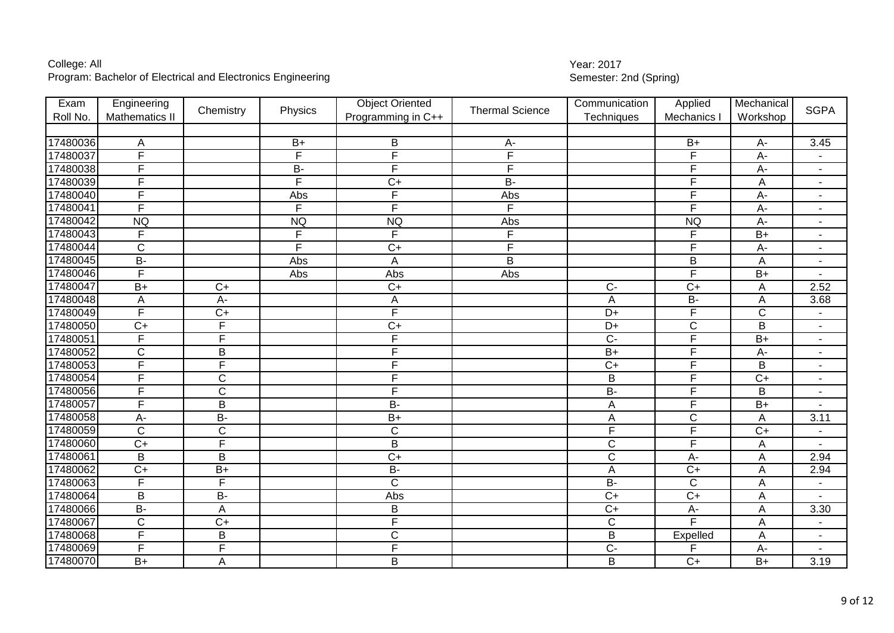| Exam     | Engineering             |                 |                | <b>Object Oriented</b>  | <b>Thermal Science</b> | Communication           | Applied                 | Mechanical      | <b>SGPA</b>              |
|----------|-------------------------|-----------------|----------------|-------------------------|------------------------|-------------------------|-------------------------|-----------------|--------------------------|
| Roll No. | <b>Mathematics II</b>   | Chemistry       | Physics        | Programming in C++      |                        | Techniques              | Mechanics I             | Workshop        |                          |
|          |                         |                 |                |                         |                        |                         |                         |                 |                          |
| 17480036 | Α                       |                 | $B+$           | B                       | A-                     |                         | $B+$                    | A-              | 3.45                     |
| 17480037 | $\overline{F}$          |                 | F              | F                       | F                      |                         | F                       | A-              |                          |
| 17480038 | F                       |                 | <b>B-</b>      | F                       | F                      |                         | F                       | $A-$            | $\blacksquare$           |
| 17480039 | $\overline{\mathsf{F}}$ |                 | $\overline{F}$ | $C+$                    | $B -$                  |                         | $\overline{\mathsf{F}}$ | A               |                          |
| 17480040 | F                       |                 | Abs            | $\overline{F}$          | Abs                    |                         | $\overline{\mathsf{F}}$ | $A -$           | $\blacksquare$           |
| 17480041 | $\overline{\mathsf{F}}$ |                 | F              | F                       | F                      |                         | F                       | $A -$           |                          |
| 17480042 | <b>NQ</b>               |                 | <b>NQ</b>      | NQ                      | Abs                    |                         | <b>NQ</b>               | $A -$           | $\blacksquare$           |
| 17480043 | F                       |                 | F              | F                       | F                      |                         | F                       | $\overline{B+}$ | $\blacksquare$           |
| 17480044 | $\mathsf C$             |                 | F.             | $\overline{C}$          | F                      |                         | $\overline{F}$          | $A -$           | $\blacksquare$           |
| 17480045 | $B -$                   |                 | Abs            | A                       | B                      |                         | $\overline{B}$          | A               | $\blacksquare$           |
| 17480046 | F                       |                 | Abs            | Abs                     | Abs                    |                         | F                       | $B+$            |                          |
| 17480047 | $B+$                    | $C+$            |                | $\overline{C+}$         |                        | $C -$                   | $C+$                    | A               | 2.52                     |
| 17480048 | Α                       | A-              |                | A                       |                        | A                       | $B -$                   | A               | 3.68                     |
| 17480049 | $\overline{\mathsf{F}}$ | $\overline{C+}$ |                | F                       |                        | $\overline{D+}$         | F                       | $\overline{C}$  | $\overline{\phantom{a}}$ |
| 17480050 | $C+$                    | $\overline{F}$  |                | $\overline{C}$          |                        | $D+$                    | $\overline{C}$          | $\sf B$         | $\blacksquare$           |
| 17480051 | F                       | F               |                | $\overline{F}$          |                        | $\overline{C}$          | $\overline{\mathsf{F}}$ | $B+$            | $\blacksquare$           |
| 17480052 | $\mathsf{C}$            | B               |                | F                       |                        | $B+$                    | F                       | $A -$           | $\blacksquare$           |
| 17480053 | F                       | F               |                | F                       |                        | $\overline{C+}$         | F                       | $\overline{B}$  | $\blacksquare$           |
| 17480054 | F                       | $\mathsf{C}$    |                | F                       |                        | B                       | F                       | $\overline{C}$  | $\blacksquare$           |
| 17480056 | $\overline{F}$          | $\overline{C}$  |                | $\overline{\mathsf{F}}$ |                        | <b>B-</b>               | $\overline{\mathsf{F}}$ | $\sf B$         | $\blacksquare$           |
| 17480057 | $\overline{\mathsf{F}}$ | $\mathsf B$     |                | $B -$                   |                        | A                       | $\overline{F}$          | $B+$            |                          |
| 17480058 | $A -$                   | $B -$           |                | $\overline{B+}$         |                        | A                       | $\overline{C}$          | A               | 3.11                     |
| 17480059 | $\overline{C}$          | $\overline{C}$  |                | $\overline{C}$          |                        | $\overline{\mathsf{F}}$ | F                       | $\overline{C}$  |                          |
| 17480060 | $\overline{C+}$         | F               |                | $\overline{B}$          |                        | $\overline{\text{C}}$   | F                       | A               |                          |
| 17480061 | B                       | $\overline{B}$  |                | $\overline{C+}$         |                        | $\overline{C}$          | $A -$                   | A               | 2.94                     |
| 17480062 | $\overline{C}$          | $B+$            |                | $B -$                   |                        | $\overline{A}$          | $\overline{C}$          | A               | 2.94                     |
| 17480063 | $\overline{F}$          | $\overline{F}$  |                | $\overline{C}$          |                        | $B -$                   | $\mathsf{C}$            | A               |                          |
| 17480064 | $\overline{B}$          | $B -$           |                | Abs                     |                        | $\overline{C+}$         | $\overline{C}$          | A               |                          |
| 17480066 | $B -$                   | A               |                | B                       |                        | $C+$                    | A-                      | A               | 3.30                     |
| 17480067 | $\overline{C}$          | $C+$            |                | F                       |                        | $\overline{C}$          | F                       | A               |                          |
| 17480068 | F                       | $\overline{B}$  |                | $\overline{\text{C}}$   |                        | $\overline{B}$          | Expelled                | A               | $\blacksquare$           |
| 17480069 | F                       | F               |                | F                       |                        | $C -$                   | F                       | $A -$           |                          |
| 17480070 | $B+$                    | $\mathsf A$     |                | B                       |                        | B                       | $C+$                    | $B+$            | 3.19                     |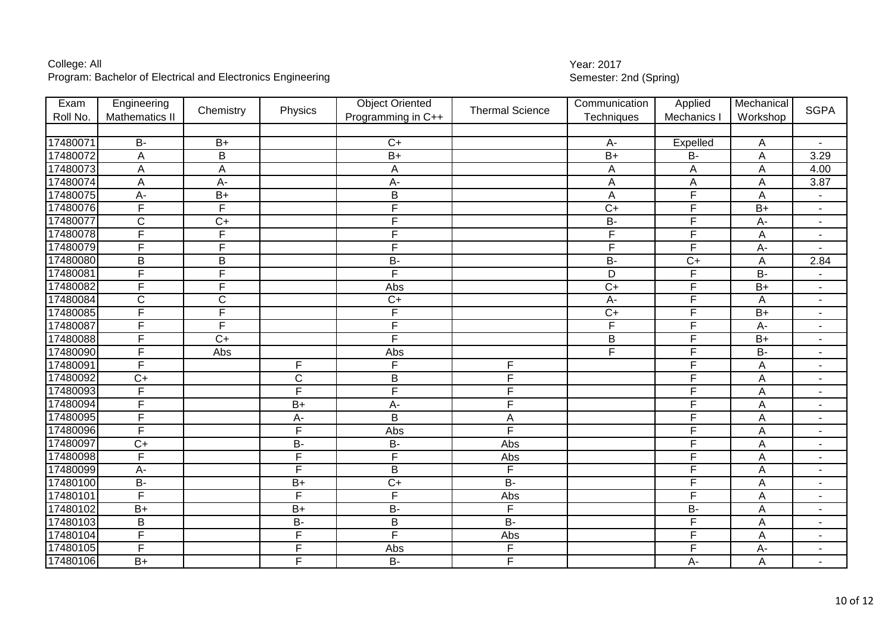| Exam     | Engineering             |                         |                       | <b>Object Oriented</b> |                        | Communication   | Applied                 | Mechanical      |                          |
|----------|-------------------------|-------------------------|-----------------------|------------------------|------------------------|-----------------|-------------------------|-----------------|--------------------------|
| Roll No. | <b>Mathematics II</b>   | Chemistry               | Physics               | Programming in C++     | <b>Thermal Science</b> | Techniques      | Mechanics               | Workshop        | <b>SGPA</b>              |
|          |                         |                         |                       |                        |                        |                 |                         |                 |                          |
| 17480071 | $B -$                   | $B+$                    |                       | $C+$                   |                        | $A -$           | Expelled                | A               | $\blacksquare$           |
| 17480072 | A                       | B                       |                       | $\overline{B+}$        |                        | $B+$            | $\overline{B}$          | $\overline{A}$  | 3.29                     |
| 17480073 | $\mathsf A$             | $\mathsf A$             |                       | A                      |                        | A               | A                       | A               | 4.00                     |
| 17480074 | A                       | $A -$                   |                       | $A-$                   |                        | A               | A                       | A               | 3.87                     |
| 17480075 | $A-$                    | $B+$                    |                       | $\sf B$                |                        | A               | $\overline{\mathsf{F}}$ | $\overline{A}$  | $\blacksquare$           |
| 17480076 | $\overline{F}$          | F                       |                       | F                      |                        | $\overline{C+}$ | F                       | $\overline{B+}$ | $\blacksquare$           |
| 17480077 | $\overline{C}$          | $C+$                    |                       | F                      |                        | $\overline{B}$  | F                       | А-              | $\blacksquare$           |
| 17480078 | F                       | F                       |                       | F                      |                        | F               | F                       | $\overline{A}$  | $\blacksquare$           |
| 17480079 | E                       | F                       |                       | F                      |                        | F               | $\mathsf{F}$            | A-              |                          |
| 17480080 | $\sf B$                 | $\mathsf B$             |                       | <b>B-</b>              |                        | <b>B-</b>       | $\overline{C}$          | A               | 2.84                     |
| 17480081 | $\overline{F}$          | $\overline{\mathsf{F}}$ |                       | F                      |                        | $\overline{D}$  | F                       | $B -$           | $\blacksquare$           |
| 17480082 | $\overline{F}$          | F                       |                       | Abs                    |                        | $\overline{C+}$ | F                       | $B+$            | $\blacksquare$           |
| 17480084 | $\overline{C}$          | $\overline{C}$          |                       | $\overline{C+}$        |                        | $A -$           | F                       | A               | $\overline{\phantom{a}}$ |
| 17480085 | $\overline{F}$          | $\overline{\mathsf{F}}$ |                       | F                      |                        | $C+$            | F                       | $B+$            | $\overline{\phantom{a}}$ |
| 17480087 | $\overline{F}$          | $\overline{F}$          |                       | F                      |                        | $\overline{F}$  | F                       | A-              | $\blacksquare$           |
| 17480088 | F                       | $C+$                    |                       | F                      |                        | B               | F                       | $B+$            | $\blacksquare$           |
| 17480090 | E                       | Abs                     |                       | Abs                    |                        | E               | F                       | $\overline{B}$  | $\blacksquare$           |
| 17480091 | $\overline{F}$          |                         | F                     | F                      | $\overline{F}$         |                 | F                       | $\overline{A}$  | ۰                        |
| 17480092 | $\overline{C}$          |                         | $\overline{\text{c}}$ | $\overline{B}$         | F                      |                 | F                       | A               | $\blacksquare$           |
| 17480093 | $\overline{F}$          |                         | F                     | F                      | F                      |                 | F                       | $\overline{A}$  | $\blacksquare$           |
| 17480094 | $\overline{F}$          |                         | $B+$                  | $A -$                  | F                      |                 | $\overline{F}$          | $\overline{A}$  | $\blacksquare$           |
| 17480095 | F                       |                         | $\overline{A}$        | $\overline{B}$         | A                      |                 | F                       | A               | $\blacksquare$           |
| 17480096 | F                       |                         | F                     | Abs                    | F                      |                 | $\mathsf{F}$            | A               | $\blacksquare$           |
| 17480097 | $\overline{C}$          |                         | $\overline{B}$        | $\overline{B}$         | Abs                    |                 | $\mathsf{F}$            | A               | $\blacksquare$           |
| 17480098 | $\overline{F}$          |                         | F                     | F                      | Abs                    |                 | F                       | A               | ÷                        |
| 17480099 | $A-$                    |                         | $\overline{F}$        | $\sf B$                | F                      |                 | $\overline{F}$          | A               | $\overline{\phantom{a}}$ |
| 17480100 | <b>B-</b>               |                         | $B+$                  | $\overline{C}$         | $\overline{B}$         |                 | $\mathsf{F}$            | A               | ۰                        |
| 17480101 | $\overline{\mathsf{F}}$ |                         | $\overline{F}$        | F                      | Abs                    |                 | F                       | A               | $\overline{\phantom{a}}$ |
| 17480102 | $B+$                    |                         | $\overline{B+}$       | $B -$                  | E                      |                 | $B -$                   | A               | $\blacksquare$           |
| 17480103 | B                       |                         | <b>B-</b>             | $\sf B$                | $\overline{B}$         |                 | F                       | A               | -                        |
| 17480104 | $\overline{F}$          |                         | F                     | F                      | Abs                    |                 | F                       | A               | $\blacksquare$           |
| 17480105 | $\overline{F}$          |                         | F                     | Abs                    | F                      |                 | F                       | A-              | $\blacksquare$           |
| 17480106 | $B+$                    |                         | F                     | $B -$                  | $\overline{F}$         |                 | A-                      | $\overline{A}$  | $\blacksquare$           |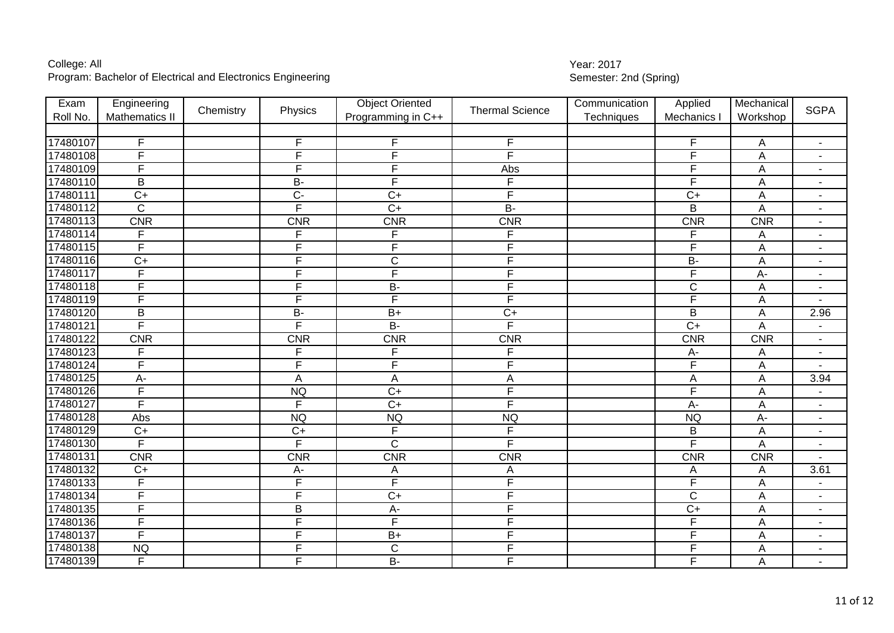| Exam     | Engineering             | Chemistry | Physics                 | <b>Object Oriented</b> | <b>Thermal Science</b>  | Communication | Applied                 | Mechanical                | <b>SGPA</b>                  |
|----------|-------------------------|-----------|-------------------------|------------------------|-------------------------|---------------|-------------------------|---------------------------|------------------------------|
| Roll No. | <b>Mathematics II</b>   |           |                         | Programming in C++     |                         | Techniques    | Mechanics               | Workshop                  |                              |
|          |                         |           |                         |                        |                         |               |                         |                           |                              |
| 17480107 | F                       |           | F                       | F                      | F                       |               | $\mathsf F$             | A                         | $\blacksquare$               |
| 17480108 | $\overline{F}$          |           | F                       | F                      | F                       |               | F                       | $\overline{A}$            | $\overline{\phantom{a}}$     |
| 17480109 | E                       |           | E                       | F                      | Abs                     |               | F                       | $\overline{A}$            | ۳                            |
| 17480110 | B                       |           | <b>B-</b>               | F                      | $\overline{F}$          |               | $\mathsf{F}$            | $\overline{A}$            | $\blacksquare$               |
| 17480111 | $C+$                    |           | $\overline{C}$          | $C+$                   | $\overline{\mathsf{F}}$ |               | $C+$                    | $\overline{A}$            | $\blacksquare$               |
| 17480112 | $\overline{C}$          |           | E                       | $\overline{C}$         | $\overline{B}$          |               | B                       | A                         | $\blacksquare$               |
| 17480113 | <b>CNR</b>              |           | <b>CNR</b>              | <b>CNR</b>             | <b>CNR</b>              |               | <b>CNR</b>              | <b>CNR</b>                | $\blacksquare$               |
| 17480114 | F                       |           | F                       | F                      | F                       |               | F                       | Α                         | $\overline{\phantom{a}}$     |
| 17480115 | $\overline{F}$          |           | F                       | F                      | $\overline{F}$          |               | $\overline{F}$          | $\boldsymbol{\mathsf{A}}$ | $\overline{\phantom{a}}$     |
| 17480116 | $C+$                    |           | $\overline{F}$          | $\mathsf C$            | $\overline{F}$          |               | $B -$                   | A                         | $\blacksquare$               |
| 17480117 | $\overline{\mathsf{F}}$ |           | F                       | F                      | F                       |               | $\overline{\mathsf{F}}$ | $A -$                     | $\overline{\phantom{a}}$     |
| 17480118 | $\overline{\mathsf{F}}$ |           | F                       | $B -$                  | E                       |               | $\overline{C}$          | A                         | $\blacksquare$               |
| 17480119 | $\overline{F}$          |           | F                       | F                      | E                       |               | $\overline{F}$          | Α                         | $\blacksquare$               |
| 17480120 | B                       |           | $\overline{B}$          | $\overline{B+}$        | $C+$                    |               | B                       | A                         | 2.96                         |
| 17480121 | E                       |           | $\overline{F}$          | $B -$                  | E                       |               | $\overline{C}$          | $\overline{A}$            | L,                           |
| 17480122 | <b>CNR</b>              |           | <b>CNR</b>              | <b>CNR</b>             | <b>CNR</b>              |               | <b>CNR</b>              | <b>CNR</b>                | $\blacksquare$               |
| 17480123 | $\overline{F}$          |           | F                       | F                      | F                       |               | $A-$                    | A                         | L,                           |
| 17480124 | $\overline{\mathsf{F}}$ |           | F                       | F                      | F                       |               | $\overline{\mathsf{F}}$ | $\overline{A}$            |                              |
| 17480125 | $A-$                    |           | A                       | A                      | A                       |               | $\mathsf{A}$            | $\overline{A}$            | 3.94                         |
| 17480126 | $\overline{F}$          |           | <b>NQ</b>               | $\overline{C}$         | $\overline{F}$          |               | F                       | $\overline{A}$            | $\overline{\phantom{a}}$     |
| 17480127 | E                       |           | $\overline{F}$          | $\overline{C}$         | $\overline{F}$          |               | $A -$                   | $\boldsymbol{\mathsf{A}}$ | $\blacksquare$               |
| 17480128 | Abs                     |           | <b>NQ</b>               | <b>NQ</b>              | <b>NQ</b>               |               | <b>NQ</b>               | $A-$                      | $\blacksquare$               |
| 17480129 | $\overline{C}$          |           | $\overline{C+}$         | F                      | F                       |               | $\overline{B}$          | A                         | $\blacksquare$               |
| 17480130 | $\overline{F}$          |           | F                       | $\overline{\text{c}}$  | F                       |               | $\overline{\mathsf{F}}$ | A                         | $\qquad \qquad \blacksquare$ |
| 17480131 | <b>CNR</b>              |           | <b>CNR</b>              | <b>CNR</b>             | <b>CNR</b>              |               | <b>CNR</b>              | <b>CNR</b>                |                              |
| 17480132 | $C+$                    |           | $A -$                   | A                      | A                       |               | A                       | A                         | 3.61                         |
| 17480133 | F                       |           | $\overline{\mathsf{F}}$ | F                      | F                       |               | $\overline{F}$          | A                         | $\blacksquare$               |
| 17480134 | $\overline{F}$          |           | F                       | $\overline{C+}$        | E                       |               | $\overline{C}$          | A                         | $\blacksquare$               |
| 17480135 | E                       |           | B                       | $A -$                  | E                       |               | $\overline{C}$          | $\overline{A}$            | $\blacksquare$               |
| 17480136 | E                       |           | F                       | F                      | E                       |               | F                       | A                         | $\blacksquare$               |
| 17480137 | E                       |           | F                       | $B+$                   | E                       |               | $\overline{F}$          | $\overline{A}$            | $\blacksquare$               |
| 17480138 | <b>NQ</b>               |           | $\overline{\mathsf{F}}$ | $\mathsf C$            | $\overline{F}$          |               | $\mathsf F$             | A                         | $\blacksquare$               |
| 17480139 | F                       |           | F                       | <b>B-</b>              | F                       |               | F                       | Α                         | $\blacksquare$               |